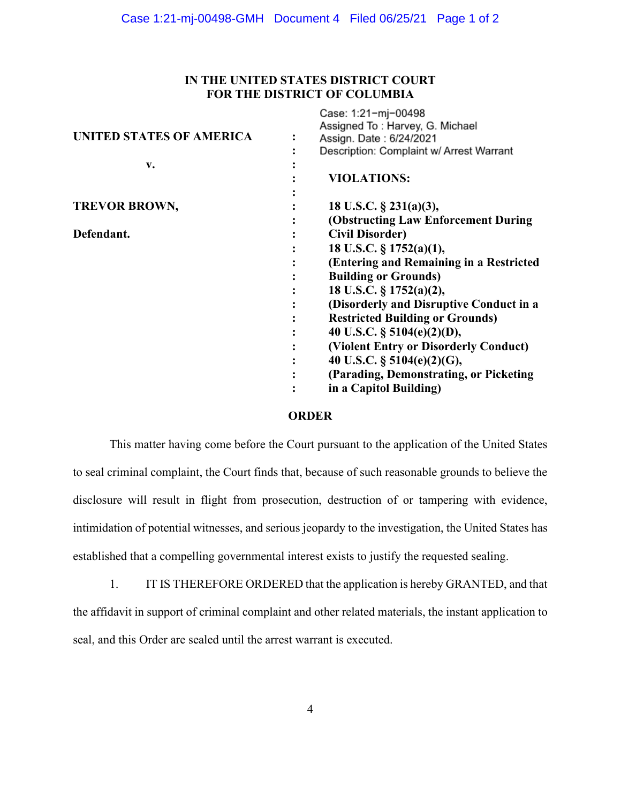## **IN THE UNITED STATES DISTRICT COURT FOR THE DISTRICT OF COLUMBIA**

 $C_{2221}$  4.24 mi 00409

|                                 | <b>UASU.</b> 1.21 THE UV430<br>Assigned To: Harvey, G. Michael |
|---------------------------------|----------------------------------------------------------------|
| <b>UNITED STATES OF AMERICA</b> | Assign. Date: 6/24/2021                                        |
|                                 | Description: Complaint w/ Arrest Warrant                       |
| V.                              |                                                                |
|                                 | <b>VIOLATIONS:</b>                                             |
|                                 |                                                                |
| <b>TREVOR BROWN,</b>            | 18 U.S.C. $\S$ 231(a)(3),                                      |
|                                 | (Obstructing Law Enforcement During)                           |
| Defendant.                      | <b>Civil Disorder)</b>                                         |
|                                 | 18 U.S.C. § 1752(a)(1),                                        |
|                                 | (Entering and Remaining in a Restricted                        |
|                                 | <b>Building or Grounds)</b>                                    |
|                                 | 18 U.S.C. § 1752(a)(2),                                        |
|                                 | (Disorderly and Disruptive Conduct in a                        |
|                                 | <b>Restricted Building or Grounds)</b>                         |
|                                 | 40 U.S.C. $\S$ 5104(e)(2)(D),                                  |
|                                 | (Violent Entry or Disorderly Conduct)                          |
|                                 | 40 U.S.C. § 5104(e)(2)(G),                                     |
|                                 | (Parading, Demonstrating, or Picketing                         |
|                                 | in a Capitol Building)                                         |
|                                 |                                                                |

## **ORDER**

This matter having come before the Court pursuant to the application of the United States to seal criminal complaint, the Court finds that, because of such reasonable grounds to believe the disclosure will result in flight from prosecution, destruction of or tampering with evidence, intimidation of potential witnesses, and serious jeopardy to the investigation, the United States has established that a compelling governmental interest exists to justify the requested sealing.

1. IT IS THEREFORE ORDERED that the application is hereby GRANTED, and that the affidavit in support of criminal complaint and other related materials, the instant application to seal, and this Order are sealed until the arrest warrant is executed.